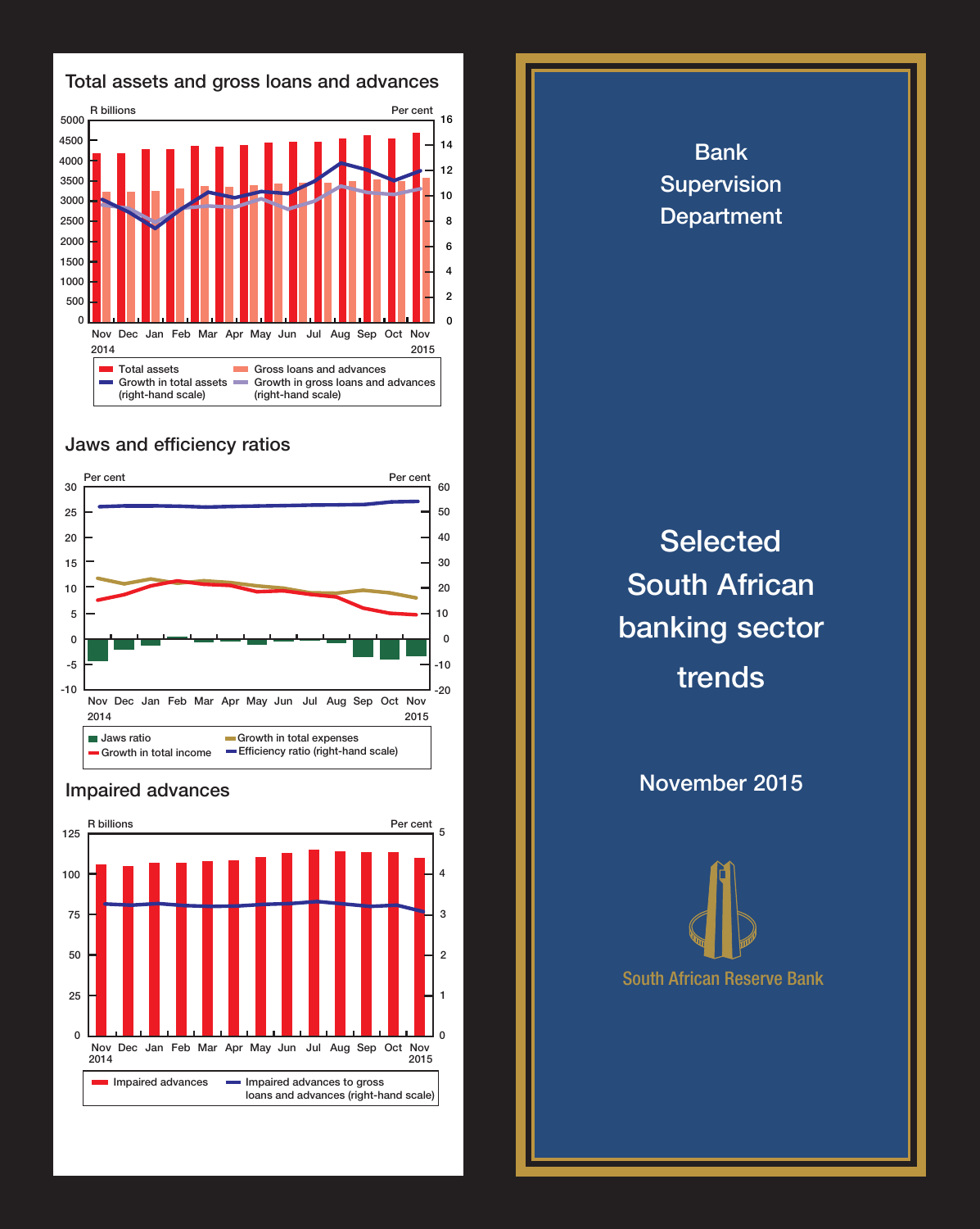

## Jaws and efficiency ratios



## Impaired advances